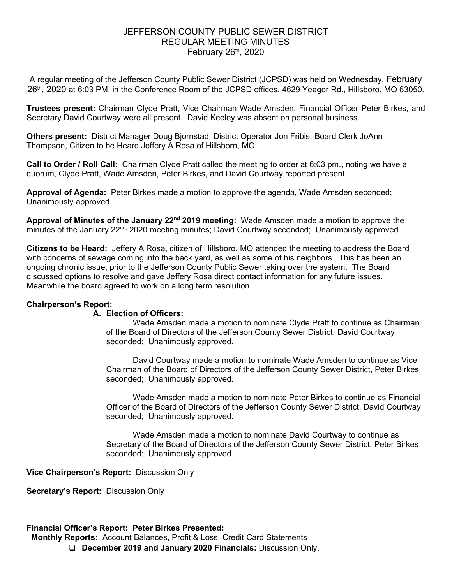# JEFFERSON COUNTY PUBLIC SEWER DISTRICT REGULAR MEETING MINUTES February  $26<sup>th</sup>$ , 2020

A regular meeting of the Jefferson County Public Sewer District (JCPSD) was held on Wednesday, February 26<sup>th</sup>, 2020 at 6:03 PM, in the Conference Room of the JCPSD offices, 4629 Yeager Rd., Hillsboro, MO 63050.

**Trustees present:** Chairman Clyde Pratt, Vice Chairman Wade Amsden, Financial Officer Peter Birkes, and Secretary David Courtway were all present. David Keeley was absent on personal business.

**Others present:** District Manager Doug Bjornstad, District Operator Jon Fribis, Board Clerk JoAnn Thompson, Citizen to be Heard Jeffery A Rosa of Hillsboro, MO.

**Call to Order / Roll Call:** Chairman Clyde Pratt called the meeting to order at 6:03 pm., noting we have a quorum, Clyde Pratt, Wade Amsden, Peter Birkes, and David Courtway reported present.

**Approval of Agenda:** Peter Birkes made a motion to approve the agenda, Wade Amsden seconded; Unanimously approved.

**Approval of Minutes of the January 22nd 2019 meeting:** Wade Amsden made a motion to approve the minutes of the January 22<sup>nd,</sup> 2020 meeting minutes; David Courtway seconded; Unanimously approved.

**Citizens to be Heard:** Jeffery A Rosa, citizen of Hillsboro, MO attended the meeting to address the Board with concerns of sewage coming into the back yard, as well as some of his neighbors. This has been an ongoing chronic issue, prior to the Jefferson County Public Sewer taking over the system. The Board discussed options to resolve and gave Jeffery Rosa direct contact information for any future issues. Meanwhile the board agreed to work on a long term resolution.

## **Chairperson's Report:**

#### **A. Election of Officers:**

Wade Amsden made a motion to nominate Clyde Pratt to continue as Chairman of the Board of Directors of the Jefferson County Sewer District, David Courtway seconded; Unanimously approved.

David Courtway made a motion to nominate Wade Amsden to continue as Vice Chairman of the Board of Directors of the Jefferson County Sewer District, Peter Birkes seconded; Unanimously approved.

Wade Amsden made a motion to nominate Peter Birkes to continue as Financial Officer of the Board of Directors of the Jefferson County Sewer District, David Courtway seconded; Unanimously approved.

Wade Amsden made a motion to nominate David Courtway to continue as Secretary of the Board of Directors of the Jefferson County Sewer District, Peter Birkes seconded; Unanimously approved.

**Vice Chairperson's Report:** Discussion Only

**Secretary's Report:** Discussion Only

#### **Financial Officer's Report: Peter Birkes Presented:**

**Monthly Reports:** Account Balances, Profit & Loss, Credit Card Statements

❏ **December 2019 and January 2020 Financials:** Discussion Only.